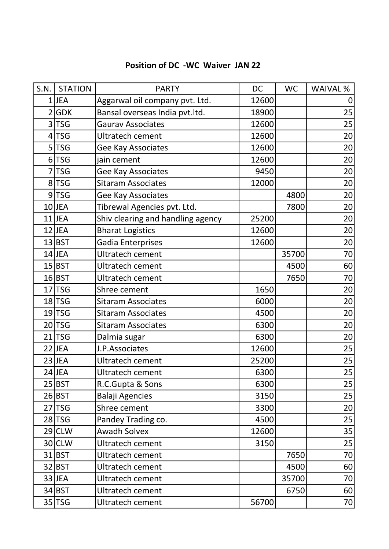## Position of DC -WC Waiver JAN 22

| S.N.           | <b>STATION</b> | <b>PARTY</b>                      | DC    | <b>WC</b> | WAIVAL % |
|----------------|----------------|-----------------------------------|-------|-----------|----------|
|                | $1$ JEA        | Aggarwal oil company pvt. Ltd.    | 12600 |           | 0        |
|                | 2 GDK          | Bansal overseas India pvt.ltd.    | 18900 |           | 25       |
| 3 <sup>1</sup> | <b>TSG</b>     | <b>Gaurav Associates</b>          | 12600 |           | 25       |
|                | 4 TSG          | <b>Ultratech cement</b>           | 12600 |           | 20       |
| 5 <sup>1</sup> | <b>TSG</b>     | Gee Kay Associates                | 12600 |           | 20       |
|                | $6$ TSG        | jain cement                       | 12600 |           | 20       |
| 7              | <b>TSG</b>     | Gee Kay Associates                | 9450  |           | 20       |
|                | 8 TSG          | <b>Sitaram Associates</b>         | 12000 |           | 20       |
|                | $9$ TSG        | Gee Kay Associates                |       | 4800      | 20       |
|                | $10$ JEA       | Tibrewal Agencies pvt. Ltd.       |       | 7800      | 20       |
|                | $11$ JEA       | Shiv clearing and handling agency | 25200 |           | 20       |
|                | $12$ JEA       | <b>Bharat Logistics</b>           | 12600 |           | 20       |
|                | 13 BST         | Gadia Enterprises                 | 12600 |           | 20       |
|                | $14$ JEA       | Ultratech cement                  |       | 35700     | 70       |
|                | 15 BST         | <b>Ultratech cement</b>           |       | 4500      | 60       |
|                | 16 BST         | Ultratech cement                  |       | 7650      | 70       |
|                | $17$ TSG       | Shree cement                      | 1650  |           | 20       |
|                | $18$ TSG       | <b>Sitaram Associates</b>         | 6000  |           | 20       |
|                | $19$ TSG       | <b>Sitaram Associates</b>         | 4500  |           | 20       |
|                | $20$ TSG       | <b>Sitaram Associates</b>         | 6300  |           | 20       |
|                | $21$ TSG       | Dalmia sugar                      | 6300  |           | 20       |
|                | $22$ JEA       | J.P.Associates                    | 12600 |           | 25       |
|                | $23$ JEA       | <b>Ultratech cement</b>           | 25200 |           | 25       |
|                | $24$ JEA       | Ultratech cement                  | 6300  |           | 25       |
|                | 25 BST         | R.C.Gupta & Sons                  | 6300  |           | 25       |
|                | 26 BST         | <b>Balaji Agencies</b>            | 3150  |           | 25       |
|                | $27$  TSG      | Shree cement                      | 3300  |           | 20       |
|                | 28 TSG         | Pandey Trading co.                | 4500  |           | 25       |
|                | $29$ CLW       | <b>Awadh Solvex</b>               | 12600 |           | 35       |
|                | $30$ CLW       | Ultratech cement                  | 3150  |           | 25       |
|                | $31$ BST       | Ultratech cement                  |       | 7650      | 70       |
|                | 32 BST         | Ultratech cement                  |       | 4500      | 60       |
|                | $33$ JEA       | Ultratech cement                  |       | 35700     | 70       |
|                | $34$ BST       | Ultratech cement                  |       | 6750      | 60       |
|                | 35 TSG         | Ultratech cement                  | 56700 |           | 70       |